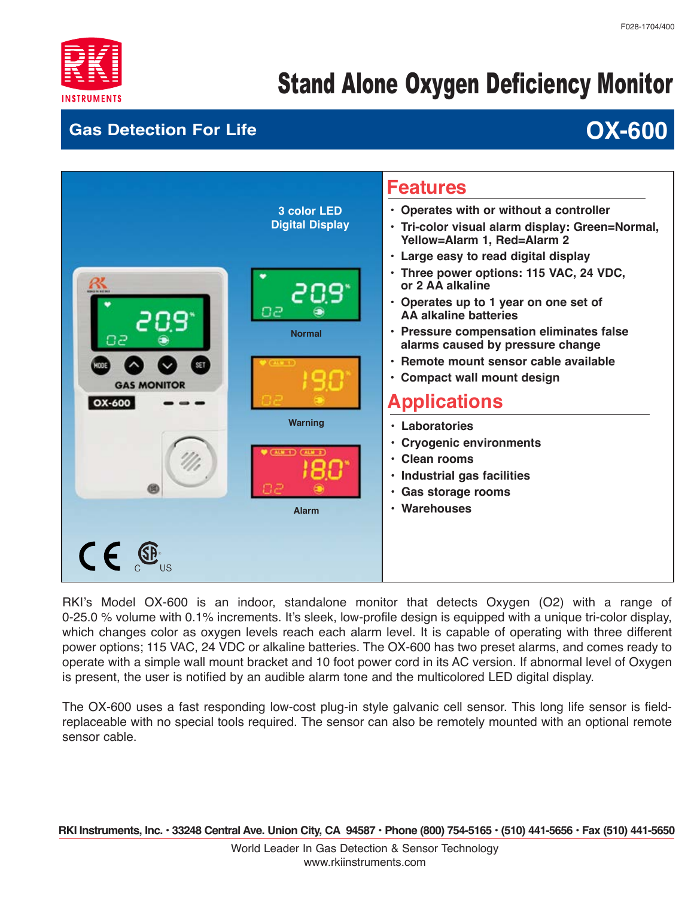

# Stand Alone Oxygen Deficiency Monitor

#### **Gas Detection For Life**

## **OX-600**



RKI's Model OX-600 is an indoor, standalone monitor that detects Oxygen (O2) with a range of 0-25.0 % volume with 0.1% increments. It's sleek, low-profile design is equipped with a unique tri-color display, which changes color as oxygen levels reach each alarm level. It is capable of operating with three different power options; 115 VAC, 24 VDC or alkaline batteries. The OX-600 has two preset alarms, and comes ready to operate with a simple wall mount bracket and 10 foot power cord in its AC version. If abnormal level of Oxygen is present, the user is notified by an audible alarm tone and the multicolored LED digital display.

The OX-600 uses a fast responding low-cost plug-in style galvanic cell sensor. This long life sensor is fieldreplaceable with no special tools required. The sensor can also be remotely mounted with an optional remote sensor cable.

 **RKI Instruments, Inc. • 33248 Central Ave. Union City, CA 94587 • Phone (800) 754-5165 • (510) 441-5656 • Fax (510) 441-5650**